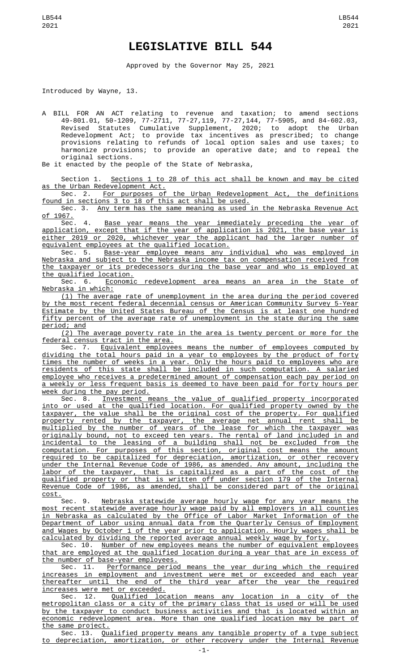## **LEGISLATIVE BILL 544**

Approved by the Governor May 25, 2021

Introduced by Wayne, 13.

A BILL FOR AN ACT relating to revenue and taxation; to amend sections 49-801.01, 50-1209, 77-2711, 77-27,119, 77-27,144, 77-5905, and 84-602.03, Revised Statutes Cumulative Supplement, 2020; to adopt the Urban Redevelopment Act; to provide tax incentives as prescribed; to change provisions relating to refunds of local option sales and use taxes; to harmonize provisions; to provide an operative date; and to repeal the original sections.

Be it enacted by the people of the State of Nebraska,

Section 1. Sections 1 to 28 of this act shall be known and may be cited as the Urban Redevelopment Act.

Sec. 2. For purposes of the Urban Redevelopment Act, the definitions found in sections 3 to 18 of this act shall be used.

Sec. 3. Any term has the same meaning as used in the Nebraska Revenue Act <u>of 1967.</u><br>Sec. 4.

Base year means the year immediately preceding the year of application, except that if the year of application is 2021, the base year is either 2019 or 2020, whichever year the applicant had the larger number of equivalent employees at the qualified location.

Sec. 5. Base-year employee means any individual who was employed in Nebraska and subject to the Nebraska income tax on compensation received from the taxpayer or its predecessors during the base year and who is employed at the qualified location.<br>Sec. 6. Economic

Economic redevelopment area means an area in the State of Nebraska in which:

(1) The average rate of unemployment in the area during the period covered by the most recent federal decennial census or American Community Survey 5-Year Estimate by the United States Bureau of the Census is at least one hundred fifty percent of the average rate of unemployment in the state during the same period; and

(2) The average poverty rate in the area is twenty percent or more for the federal census tract in the area.

Sec. 7. Equivalent employees means the number of employees computed by dividing the total hours paid in a year to employees by the product of forty times the number of weeks in a year. Only the hours paid to employees who are residents of this state shall be included in such computation. A salaried employee who receives a predetermined amount of compensation each pay period on a weekly or less frequent basis is deemed to have been paid for forty hours per week during the pay period.

Sec. 8. Investment means the value of qualified property incorporated into or used at the qualified location. For qualified property owned by the taxpayer, the value shall be the original cost of the property. For qualified property rented by the taxpayer, the average net annual rent shall be multiplied by the number of years of the lease for which the taxpayer was originally bound, not to exceed ten years. The rental of land included in and incidental to the leasing of a building shall not be excluded from the computation. For purposes of this section, original cost means the amount required to be capitalized for depreciation, amortization, or other recovery under the Internal Revenue Code of 1986, as amended. Any amount, including the labor of the taxpayer, that is capitalized as a part of the cost of the qualified property or that is written off under section 179 of the Internal Revenue Code of 1986, as amended, shall be considered part of the original

 $\frac{\text{cost.}}{\text{sec. 9.}}$ Nebraska statewide average hourly wage for any year means the most recent statewide average hourly wage paid by all employers in all counties in Nebraska as calculated by the Office of Labor Market Information of the Department of Labor using annual data from the Quarterly Census of Employment and Wages by October 1 of the year prior to application. Hourly wages shall be calculated by dividing the reported average annual weekly wage by forty.

Sec. 10. Number of new employees means the number of equivalent employees that are employed at the qualified location during a year that are in excess of the number of base-year employees.

Sec. 11. Performance period means the year during which the required increases in employment and investment were met or exceeded and each year thereafter until the end of the third year after the year the required increases were met or exceeded.

Sec. 12. Qualified location means any location in a city of the metropolitan class or a city of the primary class that is used or will be used by the taxpayer to conduct business activities and that is located within an economic redevelopment area. More than one qualified location may be part of the same project.

Sec. 13. Qualified property means any tangible property of a type subject to depreciation, amortization, or other recovery under the Internal Revenue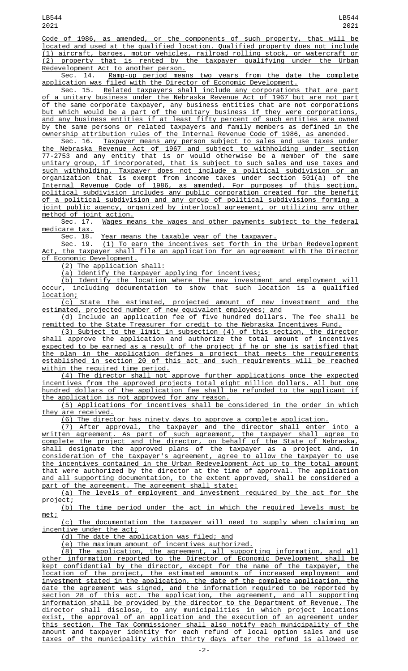Code of 1986, as amended, or the components of such property, that will be located and used at the qualified location. Qualified property does not include (1) aircraft, barges, motor vehicles, railroad rolling stock, or watercraft or (2) property that is rented by the taxpayer qualifying under the Urban Redevelopment Act to another person.<br>Sec. 14. Ramp-up period mean

Ramp-up period means two years from the date the complete application was filed with the Director of Economic Development.<br>Sec. 15. Related taxpayers shall include any corporations

Related taxpayers shall include any corporations that are part of a unitary business under the Nebraska Revenue Act of 1967 but are not part of the same corporate taxpayer, any business entities that are not corporations but which would be a part of the unitary business if they were corporations, and any business entities if at least fifty percent of such entities are owned by the same persons or related taxpayers and family members as defined in the ownership attribution rules of the Internal Revenue Code of 1986, as amended.

Taxpayer means any person subject to sales and use taxes under the Nebraska Revenue Act of 1967 and subject to withholding under section 77-2753 and any entity that is or would otherwise be a member of the same unitary group, if incorporated, that is subject to such sales and use taxes and such withholding. Taxpayer does not include a political subdivision or an organization that is exempt from income taxes under section 501(a) of the Internal Revenue Code of 1986, as amended. For purposes of this section, political subdivision includes any public corporation created for the benefit of a political subdivision and any group of political subdivisions forming a joint public agency, organized by interlocal agreement, or utilizing any other

method of joint action.<br>Sec. 17. <u>Wages me</u> Wages means the wages and other payments subject to the federal medicare tax.

Sec. 18. Year means the taxable year of the taxpayer.

Sec. 19. (1) To earn the incentives set forth in the Urban Redevelopment Act, the taxpayer shall file an application for an agreement with the Director of Economic Development.

(2) The application shall:

(a) Identify the taxpayer applying for incentives;

(b) Identify the location where the new investment and employment will occur, including documentation to show that such location is a qualified location;<br>(c)

State the estimated, projected amount of new investment and the estimated, projected number of new equivalent employees; and

(d) Include an application fee of five hundred dollars. The fee shall be remitted to the State Treasurer for credit to the Nebraska Incentives Fund.

(3) Subject to the limit in subsection (4) of this section, the director shall approve the application and authorize the total amount of incentives expected to be earned as a result of the project if he or she is satisfied that the plan in the application defines a project that meets the requirements established in section 20 of this act and such requirements will be reached within the required time period.

(4) The director shall not approve further applications once the expected incentives from the approved projects total eight million dollars. All but one hundred dollars of the application fee shall be refunded to the applicant if the application is not approved for any reason.

(5) Applications for incentives shall be considered in the order in which they are received.

(6) The director has ninety days to approve a complete application.

(7) After approval, the taxpayer and the director shall enter into a written agreement. As part of such agreement, the taxpayer shall agree to complete the project and the director, on behalf of the State of Nebraska, shall designate the approved plans of the taxpayer as a project and, in consideration of the taxpayer's agreement, agree to allow the taxpayer to use the incentives contained in the Urban Redevelopment Act up to the total amount that were authorized by the director at the time of approval. The application and all supporting documentation, to the extent approved, shall be considered a part of the agreement. The agreement shall state:

(a) The levels of employment and investment required by the act for the project;

(b) The time period under the act in which the required levels must be met;

(c) The documentation the taxpayer will need to supply when claiming an incentive under the act;

(d) The date the application was filed; and

(e) The maximum amount of incentives authorized.

(8) The application, the agreement, all supporting information, and all other information reported to the Director of Economic Development shall be kept confidential by the director, except for the name of the taxpayer, the location of the project, the estimated amounts of increased employment and investment stated in the application, the date of the complete application, the date the agreement was signed, and the information required to be reported by section 28 of this act. The application, the agreement, and all supporting information shall be provided by the director to the Department of Revenue. The director shall disclose, to any municipalities in which project locations exist, the approval of an application and the execution of an agreement under this section. The Tax Commissioner shall also notify each municipality of the amount and taxpayer identity for each refund of local option sales and use taxes of the municipality within thirty days after the refund is allowed or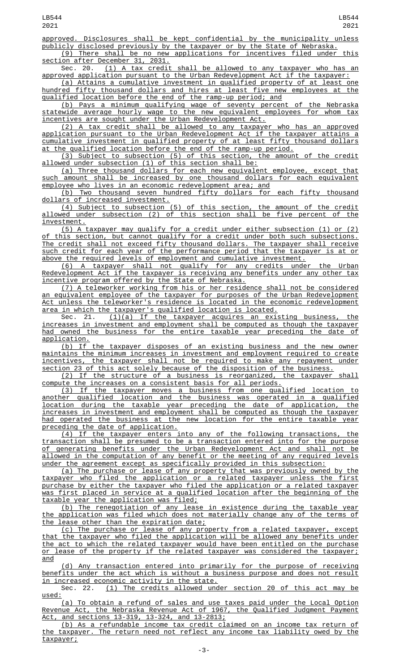approved. Disclosures shall be kept confidential by the municipality unless publicly disclosed previously by the taxpayer or by the State of Nebraska.

(9) There shall be no new applications for incentives filed under this section after December 31, 2031.<br>Sec. 20. (1) A tax credit

(1) A tax credit shall be allowed to any taxpayer who has an approved application pursuant to the Urban Redevelopment Act if the taxpayer:

(a) Attains a cumulative investment in qualified property of at least one hundred fifty thousand dollars and hires at least five new employees at the qualified location before the end of the ramp-up period; and

(b) Pays a minimum qualifying wage of seventy percent of the Nebraska statewide average hourly wage to the new equivalent employees for whom tax incentives are sought under the Urban Redevelopment Act.

(2) A tax credit shall be allowed to any taxpayer who has an approved application pursuant to the Urban Redevelopment Act if the taxpayer attains a cumulative investment in qualified property of at least fifty thousand dollars at the qualified location before the end of the ramp-up period.

(3) Subject to subsection (5) of this section, the amount of the credit allowed under subsection (1) of this section shall be:

(a) Three thousand dollars for each new equivalent employee, except that such amount shall be increased by one thousand dollars for each equivalent <u>employee who lives in an economic redevelopment area; and</u><br>(b) Two thousand seven hundred fifty dollars for

Two thousand seven hundred fifty dollars for each fifty thousand dollars of increased investment.

(4) Subject to subsection (5) of this section, the amount of the credit allowed under subsection (2) of this section shall be five percent of the investment.

(5) A taxpayer may qualify for a credit under either subsection (1) or (2) of this section, but cannot qualify for a credit under both such subsections. The credit shall not exceed fifty thousand dollars. The taxpayer shall receive such credit for each year of the performance period that the taxpayer is at or above the required levels of employment and cumulative investment.

(6) A taxpayer shall not qualify for any credits under the Urban Redevelopment Act if the taxpayer is receiving any benefits under any other tax incentive program offered by the State of Nebraska.

(7) A teleworker working from his or her residence shall not be considered an equivalent employee of the taxpayer for purposes of the Urban Redevelopment Act unless the teleworker's residence is located in the economic redevelopment area in which the taxpayer's qualified location is located.

Sec. 21. <u>(1)(a) If the taxpayer acquires an existing business, the</u> increases in investment and employment shall be computed as though the taxpayer had owned the business for the entire taxable year preceding the date of application.

(b) If the taxpayer disposes of an existing business and the new owner maintains the minimum increases in investment and employment required to create incentives, the taxpayer shall not be required to make any repayment under section 23 of this act solely because of the disposition of the business.

(2) If the structure of a business is reorganized, the taxpayer shall compute the increases on a consistent basis for all periods.

(3) If the taxpayer moves a business from one qualified location to another qualified location and the business was operated in a qualified location during the taxable year preceding the date of application, the increases in investment and employment shall be computed as though the taxpayer had operated the business at the new location for the entire taxable year preceding the date of application.

(4) If the taxpayer enters into any of the following transactions, the transaction shall be presumed to be a transaction entered into for the purpose of generating benefits under the Urban Redevelopment Act and shall not be allowed in the computation of any benefit or the meeting of any required levels under the agreement except as specifically provided in this subsection:

(a) The purchase or lease of any property that was previously owned by the taxpayer who filed the application or a related taxpayer unless the first purchase by either the taxpayer who filed the application or a related taxpayer was first placed in service at a qualified location after the beginning of the taxable year the application was filed;

(b) The renegotiation of any lease in existence during the taxable year the application was filed which does not materially change any of the terms of the lease other than the expiration date;

(c) The purchase or lease of any property from a related taxpayer, except that the taxpayer who filed the application will be allowed any benefits under the act to which the related taxpayer would have been entitled on the purchase or lease of the property if the related taxpayer was considered the taxpayer; and

(d) Any transaction entered into primarily for the purpose of receiving benefits under the act which is without a business purpose and does not result <u>in increased economic activity in the state.</u><br>Sec. 22. (1) The credits allowed unc

 $(1)$  The credits allowed under section 20 of this act may be used:

(a) To obtain a refund of sales and use taxes paid under the Local Option Revenue Act, the Nebraska Revenue Act of 1967, the Qualified Judgment Payment Act, and sections 13-319, 13-324, and 13-2813;

(b) As a refundable income tax credit claimed on an income tax return of the taxpayer. The return need not reflect any income tax liability owed by the taxpayer;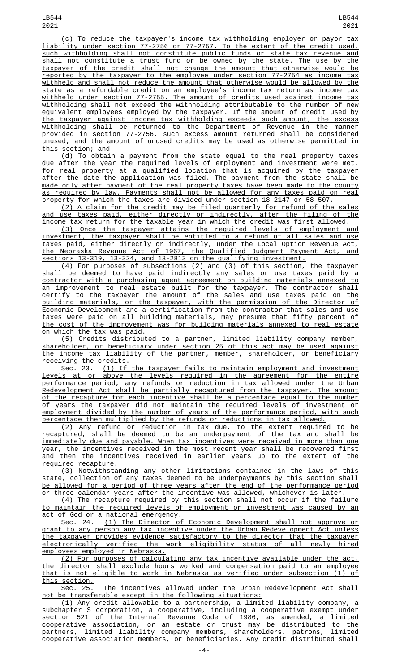(c) To reduce the taxpayer's income tax withholding employer or payor tax liability under section 77-2756 or 77-2757. To the extent of the credit used, such withholding shall not constitute public funds or state tax revenue and shall not constitute a trust fund or be owned by the state. The use by the taxpayer of the credit shall not change the amount that otherwise would be reported by the taxpayer to the employee under section 77-2754 as income tax withheld and shall not reduce the amount that otherwise would be allowed by the state as a refundable credit on an employee's income tax return as income tax withheld under section 77-2755. The amount of credits used against income tax withholding shall not exceed the withholding attributable to the number of new equivalent employees employed by the taxpayer. If the amount of credit used by the taxpayer against income tax withholding exceeds such amount, the excess withholding shall be returned to the Department of Revenue in the manner provided in section 77-2756, such excess amount returned shall be considered unused, and the amount of unused credits may be used as otherwise permitted in this section; and

(d) To obtain a payment from the state equal to the real property taxes due after the year the required levels of employment and investment were met, for real property at a qualified location that is acquired by the taxpayer after the date the application was filed. The payment from the state shall be made only after payment of the real property taxes have been made to the county as required by law. Payments shall not be allowed for any taxes paid on real property for which the taxes are divided under section 18-2147 or 58-507.

(2) A claim for the credit may be filed quarterly for refund of the sales and use taxes paid, either directly or indirectly, after the filing of the income tax return for the taxable year in which the credit was first allowed.

(3) Once the taxpayer attains the required levels of employment and investment, the taxpayer shall be entitled to a refund of all sales and use taxes paid, either directly or indirectly, under the Local Option Revenue Act, the Nebraska Revenue Act of 1967, the Qualified Judgment Payment Act, and sections 13-319, 13-324, and 13-2813 on the qualifying investment.

(4) For purposes of subsections (2) and (3) of this section, the taxpayer shall be deemed to have paid indirectly any sales or use taxes paid by a contractor with a purchasing agent agreement on building materials annexed to an improvement to real estate built for the taxpayer. The contractor shall certify to the taxpayer the amount of the sales and use taxes paid on the building materials, or the taxpayer, with the permission of the Director of Economic Development and a certification from the contractor that sales and use taxes were paid on all building materials, may presume that fifty percent of the cost of the improvement was for building materials annexed to real estate on which the tax was paid.

(5) Credits distributed to a partner, limited liability company member, shareholder, or beneficiary under section 25 of this act may be used against the income tax liability of the partner, member, shareholder, or beneficiary receiving the credits.

Sec. 23. (1) If the taxpayer fails to maintain employment and investment levels at or above the levels required in the agreement for the entire performance period, any refunds or reduction in tax allowed under the Urban Redevelopment Act shall be partially recaptured from the taxpayer. The amount of the recapture for each incentive shall be a percentage equal to the number of years the taxpayer did not maintain the required levels of investment or employment divided by the number of years of the performance period, with such percentage then multiplied by the refunds or reductions in tax allowed.

(2) Any refund or reduction in tax due, to the extent required to be recaptured, shall be deemed to be an underpayment of the tax and shall be immediately due and payable. When tax incentives were received in more than one year, the incentives received in the most recent year shall be recovered first and then the incentives received in earlier years up to the extent of the required recapture.

(3) Notwithstanding any other limitations contained in the laws of this state, collection of any taxes deemed to be underpayments by this section shall be allowed for a period of three years after the end of the performance period or three calendar years after the incentive was allowed, whichever is later.

(4) The recapture required by this section shall not occur if the failure to maintain the required levels of employment or investment was caused by an act of God or a national emergency.

Sec. 24. <u>(1) The Director of Economic Development shall not approve or</u> grant to any person any tax incentive under the Urban Redevelopment Act unless the taxpayer provides evidence satisfactory to the director that the taxpayer electronically verified the work eligibility status of all newly hired employees employed in Nebraska.

(2) For purposes of calculating any tax incentive available under the act, the director shall exclude hours worked and compensation paid to an employee that is not eligible to work in Nebraska as verified under subsection (1) of this section.<br>Sec. 25.

The incentives allowed under the Urban Redevelopment Act shall not be transferable except in the following situations:

(1) Any credit allowable to a partnership, a limited liability company, a subchapter S corporation, a cooperative, including a cooperative exempt under section 521 of the Internal Revenue Code of 1986, as amended, a limited cooperative association, or an estate or trust may be distributed to the partners, limited liability company members, shareholders, patrons, limited cooperative association members, or beneficiaries. Any credit distributed shall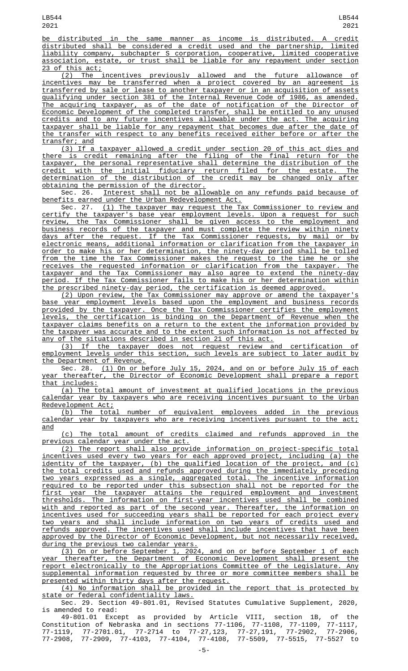be distributed in the same manner as income is distributed. A credit distributed shall be considered a credit used and the partnership, limited liability company, subchapter S corporation, cooperative, limited cooperative association, estate, or trust shall be liable for any repayment under section 23 of this act;

(2) The incentives previously allowed and the future allowance of incentives may be transferred when a project covered by an agreement is transferred by sale or lease to another taxpayer or in an acquisition of assets qualifying under section 381 of the Internal Revenue Code of 1986, as amended. The acquiring taxpayer, as of the date of notification of the Director of Economic Development of the completed transfer, shall be entitled to any unused credits and to any future incentives allowable under the act. The acquiring taxpayer shall be liable for any repayment that becomes due after the date of the transfer with respect to any benefits received either before or after the transfer; and

(3) If a taxpayer allowed a credit under section 20 of this act dies and there is credit remaining after the filing of the final return for the taxpayer, the personal representative shall determine the distribution of the credit with the initial fiduciary return filed for the estate. The determination of the distribution of the credit may be changed only after obtaining the permission of the director.

Sec. 26. Interest shall not be allowable on any refunds paid because of benefits earned under the Urban Redevelopment Act.

Sec. 27. (1) The taxpayer may request the Tax Commissioner to review and certify the taxpayer's base year employment levels. Upon a request for such review, the Tax Commissioner shall be given access to the employment and business records of the taxpayer and must complete the review within ninety days after the request. If the Tax Commissioner requests, by mail or by electronic means, additional information or clarification from the taxpayer in order to make his or her determination, the ninety-day period shall be tolled from the time the Tax Commissioner makes the request to the time he or she receives the requested information or clarification from the taxpayer. The taxpayer and the Tax Commissioner may also agree to extend the ninety-day period. If the Tax Commissioner fails to make his or her determination within the prescribed ninety-day period, the certification is deemed approved.

(2) Upon review, the Tax Commissioner may approve or amend the taxpayer's base year employment levels based upon the employment and business records provided by the taxpayer. Once the Tax Commissioner certifies the employment levels, the certification is binding on the Department of Revenue when the taxpayer claims benefits on a return to the extent the information provided by the taxpayer was accurate and to the extent such information is not affected by any of the situations described in section 21 of this act.

(3) If the taxpayer does not request review and certification of employment levels under this section, such levels are subject to later audit by the Department of Revenue.

Sec. 28. (1) On or before July 15, 2024, and on or before July 15 of each year thereafter, the Director of Economic Development shall prepare a report that includes:

(a) The total amount of investment at qualified locations in the previous calendar year by taxpayers who are receiving incentives pursuant to the Urban Redevelopment Act;

(b) The total number of equivalent employees added in the previous calendar year by taxpayers who are receiving incentives pursuant to the act; and

(c) The total amount of credits claimed and refunds approved in the previous calendar year under the act.

(2) The report shall also provide information on project-specific total incentives used every two years for each approved project, including (a) the identity of the taxpayer, (b) the qualified location of the project, and (c) the total credits used and refunds approved during the immediately preceding two years expressed as a single, aggregated total. The incentive information required to be reported under this subsection shall not be reported for the first year the taxpayer attains the required employment and investment thresholds. The information on first-year incentives used shall be combined with and reported as part of the second year. Thereafter, the information on incentives used for succeeding years shall be reported for each project every two years and shall include information on two years of credits used and refunds approved. The incentives used shall include incentives that have been approved by the Director of Economic Development, but not necessarily received, during the previous two calendar years.

(3) On or before September 1, 2024, and on or before September 1 of each year thereafter, the Department of Economic Development shall present the report electronically to the Appropriations Committee of the Legislature. Any supplemental information requested by three or more committee members shall be presented within thirty days after the request.

(4) No information shall be provided in the report that is protected by state or federal confidentiality laws.

Sec. 29. Section 49-801.01, Revised Statutes Cumulative Supplement, 2020, is amended to read:

49-801.01 Except as provided by Article VIII, section 1B, of the Constitution of Nebraska and in sections 77-1106, 77-1108, 77-1109, 77-1117, 77-1119, 77-2701.01, 77-2714 to 77-27,123, 77-27,191, 77-2902, 77-2906, 77-2908, 77-2909, 77-4103, 77-4104, 77-4108, 77-5509, 77-5515, 77-5527 to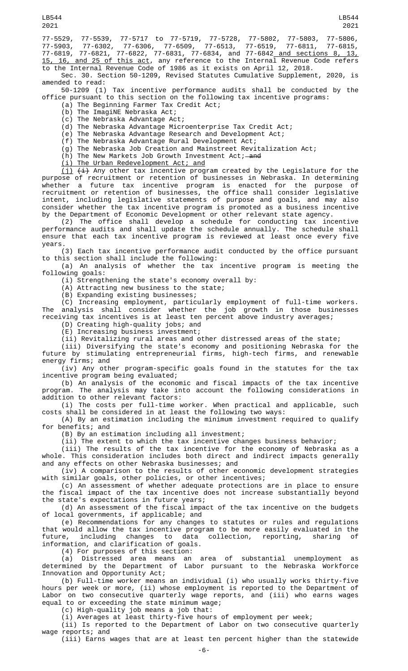77-5529, 77-5539, 77-5717 to 77-5719, 77-5728, 77-5802, 77-5803, 77-5806, 77-5903, 77-6302, 77-6306, 77-6509, 77-6513, 77-6519, 77-6811, 77-6815, 77-6819, 77-6821, 77-6822, 77-6831, 77-6834, and 77-6842 and sections 8, 13,

15, 16, and 25 of this act, any reference to the Internal Revenue Code refers to the Internal Revenue Code of 1986 as it exists on April 12, 2018.

Sec. 30. Section 50-1209, Revised Statutes Cumulative Supplement, 2020, is amended to read:

50-1209 (1) Tax incentive performance audits shall be conducted by the office pursuant to this section on the following tax incentive programs:

- (a) The Beginning Farmer Tax Credit Act;
- (b) The ImagiNE Nebraska Act;
- (c) The Nebraska Advantage Act; (d) The Nebraska Advantage Microenterprise Tax Credit Act;
- (e) The Nebraska Advantage Research and Development Act;
- (f) The Nebraska Advantage Rural Development Act;
- (g) The Nebraska Job Creation and Mainstreet Revitalization Act;
- (h) The New Markets Job Growth Investment Act;  $-\text{and}$
- (i) The Urban Redevelopment Act; and

<u>(j)</u> <del>(i)</del> Any other tax incentive program created by the Legislature for the purpose of recruitment or retention of businesses in Nebraska. In determining whether a future tax incentive program is enacted for the purpose of recruitment or retention of businesses, the office shall consider legislative intent, including legislative statements of purpose and goals, and may also consider whether the tax incentive program is promoted as a business incentive by the Department of Economic Development or other relevant state agency.

(2) The office shall develop a schedule for conducting tax incentive performance audits and shall update the schedule annually. The schedule shall ensure that each tax incentive program is reviewed at least once every five years.

(3) Each tax incentive performance audit conducted by the office pursuant to this section shall include the following:

(a) An analysis of whether the tax incentive program is meeting the following goals:

(i) Strengthening the state's economy overall by:

(A) Attracting new business to the state;

(B) Expanding existing businesses;

(C) Increasing employment, particularly employment of full-time workers. The analysis shall consider whether the job growth in those businesses receiving tax incentives is at least ten percent above industry averages;

(D) Creating high-quality jobs; and

(E) Increasing business investment;

(ii) Revitalizing rural areas and other distressed areas of the state;

(iii) Diversifying the state's economy and positioning Nebraska for the future by stimulating entrepreneurial firms, high-tech firms, and renewable energy firms; and

(iv) Any other program-specific goals found in the statutes for the tax incentive program being evaluated;

(b) An analysis of the economic and fiscal impacts of the tax incentive program. The analysis may take into account the following considerations in addition to other relevant factors:

(i) The costs per full-time worker. When practical and applicable, such costs shall be considered in at least the following two ways:

(A) By an estimation including the minimum investment required to qualify for benefits; and

(B) By an estimation including all investment;

(ii) The extent to which the tax incentive changes business behavior;

(iii) The results of the tax incentive for the economy of Nebraska as a whole. This consideration includes both direct and indirect impacts generally and any effects on other Nebraska businesses; and

(iv) A comparison to the results of other economic development strategies with similar goals, other policies, or other incentives;

(c) An assessment of whether adequate protections are in place to ensure the fiscal impact of the tax incentive does not increase substantially beyond the state's expectations in future years;

(d) An assessment of the fiscal impact of the tax incentive on the budgets of local governments, if applicable; and

(e) Recommendations for any changes to statutes or rules and regulations that would allow the tax incentive program to be more easily evaluated in the future, including changes to data collection, reporting, sharing information, and clarification of goals.

(4) For purposes of this section:

(a) Distressed area means an area of substantial unemployment as determined by the Department of Labor pursuant to the Nebraska Workforce Innovation and Opportunity Act;

(b) Full-time worker means an individual (i) who usually works thirty-five hours per week or more, (ii) whose employment is reported to the Department of Labor on two consecutive quarterly wage reports, and (iii) who earns wages equal to or exceeding the state minimum wage;

(c) High-quality job means a job that:

(i) Averages at least thirty-five hours of employment per week;

(ii) Is reported to the Department of Labor on two consecutive quarterly wage reports; and

(iii) Earns wages that are at least ten percent higher than the statewide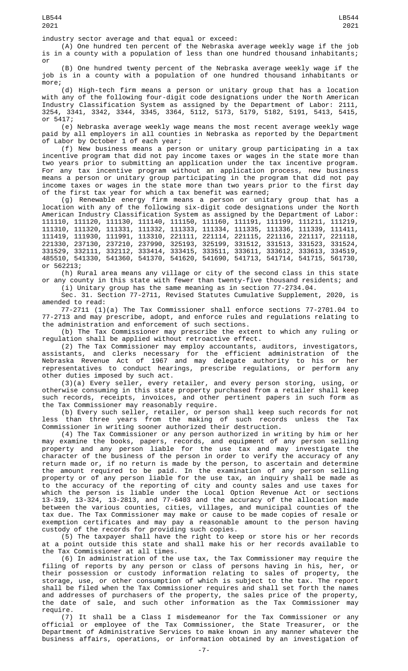(A) One hundred ten percent of the Nebraska average weekly wage if the job is in a county with a population of less than one hundred thousand inhabitants; or

(B) One hundred twenty percent of the Nebraska average weekly wage if the job is in a county with a population of one hundred thousand inhabitants or more;

(d) High-tech firm means a person or unitary group that has a location with any of the following four-digit code designations under the North American Industry Classification System as assigned by the Department of Labor: 2111, 3254, 3341, 3342, 3344, 3345, 3364, 5112, 5173, 5179, 5182, 5191, 5413, 5415, or 5417;

(e) Nebraska average weekly wage means the most recent average weekly wage paid by all employers in all counties in Nebraska as reported by the Department of Labor by October 1 of each year;

(f) New business means a person or unitary group participating in a tax incentive program that did not pay income taxes or wages in the state more than two years prior to submitting an application under the tax incentive program. For any tax incentive program without an application process, new business means a person or unitary group participating in the program that did not pay income taxes or wages in the state more than two years prior to the first day of the first tax year for which a tax benefit was earned;

(g) Renewable energy firm means a person or unitary group that has a location with any of the following six-digit code designations under the North American Industry Classification System as assigned by the Department of Labor: 111110, 111120, 111130, 111140, 111150, 111160, 111191, 111199, 111211, 111219, 111310, 111320, 111331, 111332, 111333, 111334, 111335, 111336, 111339, 111411, 111419, 111930, 111991, 113310, 221111, 221114, 221115, 221116, 221117, 221118, 221330, 237130, 237210, 237990, 325193, 325199, 331512, 331513, 331523, 331524, 331529, 332111, 332112, 333414, 333415, 333511, 333611, 333612, 333613, 334519, 485510, 541330, 541360, 541370, 541620, 541690, 541713, 541714, 541715, 561730, or 562213;

(h) Rural area means any village or city of the second class in this state or any county in this state with fewer than twenty-five thousand residents; and (i) Unitary group has the same meaning as in section 77-2734.04.

Sec. 31. Section 77-2711, Revised Statutes Cumulative Supplement, 2020, is amended to read:

77-2711 (1)(a) The Tax Commissioner shall enforce sections 77-2701.04 to 77-2713 and may prescribe, adopt, and enforce rules and regulations relating to the administration and enforcement of such sections.

(b) The Tax Commissioner may prescribe the extent to which any ruling or regulation shall be applied without retroactive effect.

(2) The Tax Commissioner may employ accountants, auditors, investigators, assistants, and clerks necessary for the efficient administration of the Nebraska Revenue Act of 1967 and may delegate authority to his or her representatives to conduct hearings, prescribe regulations, or perform any other duties imposed by such act.

(3)(a) Every seller, every retailer, and every person storing, using, or otherwise consuming in this state property purchased from a retailer shall keep such records, receipts, invoices, and other pertinent papers in such form as the Tax Commissioner may reasonably require.

(b) Every such seller, retailer, or person shall keep such records for not less than three years from the making of such records unless the Tax Commissioner in writing sooner authorized their destruction.

(4) The Tax Commissioner or any person authorized in writing by him or her may examine the books, papers, records, and equipment of any person selling property and any person liable for the use tax and may investigate the character of the business of the person in order to verify the accuracy of any return made or, if no return is made by the person, to ascertain and determine the amount required to be paid. In the examination of any person selling property or of any person liable for the use tax, an inquiry shall be made as to the accuracy of the reporting of city and county sales and use taxes for which the person is liable under the Local Option Revenue Act or sections 13-319, 13-324, 13-2813, and 77-6403 and the accuracy of the allocation made between the various counties, cities, villages, and municipal counties of the tax due. The Tax Commissioner may make or cause to be made copies of resale or exemption certificates and may pay a reasonable amount to the person having custody of the records for providing such copies.

(5) The taxpayer shall have the right to keep or store his or her records at a point outside this state and shall make his or her records available to the Tax Commissioner at all times.

(6) In administration of the use tax, the Tax Commissioner may require the filing of reports by any person or class of persons having in his, her, or their possession or custody information relating to sales of property, the storage, use, or other consumption of which is subject to the tax. The report shall be filed when the Tax Commissioner requires and shall set forth the names and addresses of purchasers of the property, the sales price of the property, the date of sale, and such other information as the Tax Commissioner may require.

(7) It shall be a Class I misdemeanor for the Tax Commissioner or any official or employee of the Tax Commissioner, the State Treasurer, or the Department of Administrative Services to make known in any manner whatever the business affairs, operations, or information obtained by an investigation of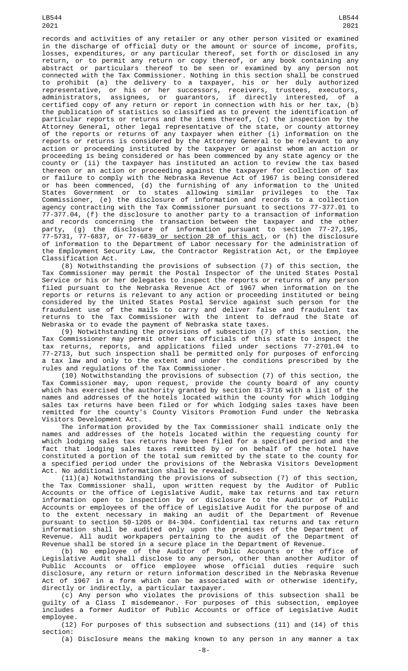records and activities of any retailer or any other person visited or examined in the discharge of official duty or the amount or source of income, profits, losses, expenditures, or any particular thereof, set forth or disclosed in any return, or to permit any return or copy thereof, or any book containing any abstract or particulars thereof to be seen or examined by any person not connected with the Tax Commissioner. Nothing in this section shall be construed to prohibit (a) the delivery to a taxpayer, his or her duly authorized representative, or his or her successors, receivers, trustees, executors, administrators, assignees, or guarantors, if directly interested, of a certified copy of any return or report in connection with his or her tax, (b) the publication of statistics so classified as to prevent the identification of particular reports or returns and the items thereof, (c) the inspection by the Attorney General, other legal representative of the state, or county attorney of the reports or returns of any taxpayer when either (i) information on the reports or returns is considered by the Attorney General to be relevant to any action or proceeding instituted by the taxpayer or against whom an action or proceeding is being considered or has been commenced by any state agency or the county or (ii) the taxpayer has instituted an action to review the tax based thereon or an action or proceeding against the taxpayer for collection of tax or failure to comply with the Nebraska Revenue Act of 1967 is being considered or has been commenced, (d) the furnishing of any information to the United States Government or to states allowing similar privileges to the Tax Commissioner, (e) the disclosure of information and records to a collection agency contracting with the Tax Commissioner pursuant to sections 77-377.01 to 77-377.04, (f) the disclosure to another party to a transaction of information and records concerning the transaction between the taxpayer and the other party, (g) the disclosure of information pursuant to section 77-27,195, 77-5731, 77-6837, or 77-6839<u> or section 28 of this act</u>, or (h) the disclosure of information to the Department of Labor necessary for the administration of the Employment Security Law, the Contractor Registration Act, or the Employee Classification Act.

(8) Notwithstanding the provisions of subsection (7) of this section, the Tax Commissioner may permit the Postal Inspector of the United States Postal Service or his or her delegates to inspect the reports or returns of any person filed pursuant to the Nebraska Revenue Act of 1967 when information on the reports or returns is relevant to any action or proceeding instituted or being considered by the United States Postal Service against such person for the fraudulent use of the mails to carry and deliver false and fraudulent tax returns to the Tax Commissioner with the intent to defraud the State of Nebraska or to evade the payment of Nebraska state taxes.

(9) Notwithstanding the provisions of subsection (7) of this section, the Tax Commissioner may permit other tax officials of this state to inspect the tax returns, reports, and applications filed under sections 77-2701.04 to 77-2713, but such inspection shall be permitted only for purposes of enforcing a tax law and only to the extent and under the conditions prescribed by the rules and regulations of the Tax Commissioner.

(10) Notwithstanding the provisions of subsection (7) of this section, the Tax Commissioner may, upon request, provide the county board of any county which has exercised the authority granted by section 81-3716 with a list of the names and addresses of the hotels located within the county for which lodging sales tax returns have been filed or for which lodging sales taxes have been remitted for the county's County Visitors Promotion Fund under the Nebraska Visitors Development Act.

The information provided by the Tax Commissioner shall indicate only the names and addresses of the hotels located within the requesting county for which lodging sales tax returns have been filed for a specified period and the fact that lodging sales taxes remitted by or on behalf of the hotel have constituted a portion of the total sum remitted by the state to the county for a specified period under the provisions of the Nebraska Visitors Development Act. No additional information shall be revealed.

(11)(a) Notwithstanding the provisions of subsection (7) of this section, the Tax Commissioner shall, upon written request by the Auditor of Public Accounts or the office of Legislative Audit, make tax returns and tax return information open to inspection by or disclosure to the Auditor of Public Accounts or employees of the office of Legislative Audit for the purpose of and to the extent necessary in making an audit of the Department of Revenue pursuant to section 50-1205 or 84-304. Confidential tax returns and tax return information shall be audited only upon the premises of the Department of Revenue. All audit workpapers pertaining to the audit of the Department of Revenue shall be stored in a secure place in the Department of Revenue.

(b) No employee of the Auditor of Public Accounts or the office of Legislative Audit shall disclose to any person, other than another Auditor of Public Accounts or office employee whose official duties require such disclosure, any return or return information described in the Nebraska Revenue Act of 1967 in a form which can be associated with or otherwise identify, directly or indirectly, a particular taxpayer.

(c) Any person who violates the provisions of this subsection shall be guilty of a Class I misdemeanor. For purposes of this subsection, employee includes a former Auditor of Public Accounts or office of Legislative Audit employee.

 $(12)$  For purposes of this subsection and subsections  $(11)$  and  $(14)$  of this section:

(a) Disclosure means the making known to any person in any manner a tax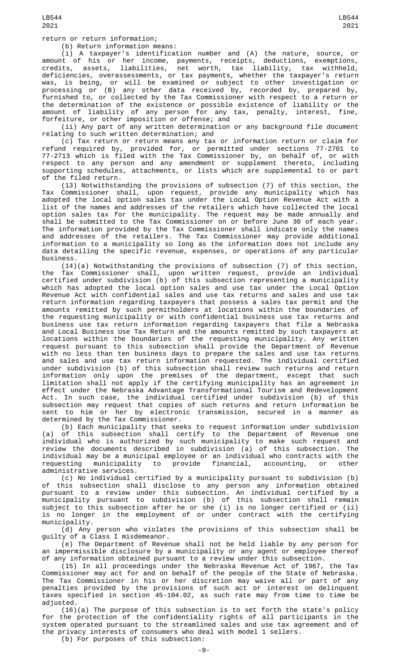return or return information;

(b) Return information means:

(i) A taxpayer's identification number and (A) the nature, source, or amount of his or her income, payments, receipts, deductions, exemptions, credits, assets, liabilities, net worth, tax liability, tax withheld, deficiencies, overassessments, or tax payments, whether the taxpayer's return was, is being, or will be examined or subject to other investigation or processing or (B) any other data received by, recorded by, prepared by, furnished to, or collected by the Tax Commissioner with respect to a return or the determination of the existence or possible existence of liability or the amount of liability of any person for any tax, penalty, interest, fine, forfeiture, or other imposition or offense; and

(ii) Any part of any written determination or any background file document relating to such written determination; and

(c) Tax return or return means any tax or information return or claim for refund required by, provided for, or permitted under sections 77-2701 to 77-2713 which is filed with the Tax Commissioner by, on behalf of, or with respect to any person and any amendment or supplement thereto, including supporting schedules, attachments, or lists which are supplemental to or part of the filed return.

(13) Notwithstanding the provisions of subsection (7) of this section, the Tax Commissioner shall, upon request, provide any municipality which has adopted the local option sales tax under the Local Option Revenue Act with a list of the names and addresses of the retailers which have collected the local option sales tax for the municipality. The request may be made annually and shall be submitted to the Tax Commissioner on or before June 30 of each year. The information provided by the Tax Commissioner shall indicate only the names and addresses of the retailers. The Tax Commissioner may provide additional information to a municipality so long as the information does not include any data detailing the specific revenue, expenses, or operations of any particular business.

(14)(a) Notwithstanding the provisions of subsection (7) of this section, the Tax Commissioner shall, upon written request, provide an individual certified under subdivision (b) of this subsection representing a municipality which has adopted the local option sales and use tax under the Local Option Revenue Act with confidential sales and use tax returns and sales and use tax return information regarding taxpayers that possess a sales tax permit and the amounts remitted by such permitholders at locations within the boundaries of the requesting municipality or with confidential business use tax returns and business use tax return information regarding taxpayers that file a Nebraska and Local Business Use Tax Return and the amounts remitted by such taxpayers at locations within the boundaries of the requesting municipality. Any written request pursuant to this subsection shall provide the Department of Revenue with no less than ten business days to prepare the sales and use tax returns and sales and use tax return information requested. The individual certified under subdivision (b) of this subsection shall review such returns and return information only upon the premises of the department, except that such limitation shall not apply if the certifying municipality has an agreement in effect under the Nebraska Advantage Transformational Tourism and Redevelopment Act. In such case, the individual certified under subdivision (b) of this subsection may request that copies of such returns and return information be<br>sent to him or her by electronic transmission, secured in a manner as sent to him or her by electronic transmission, secured in a manner as determined by the Tax Commissioner.

(b) Each municipality that seeks to request information under subdivision (a) of this subsection shall certify to the Department of Revenue one individual who is authorized by such municipality to make such request and review the documents described in subdivision (a) of this subsection. The individual may be a municipal employee or an individual who contracts with the requesting municipality to provide financial, accounting, or other administrative services.

(c) No individual certified by a municipality pursuant to subdivision (b) of this subsection shall disclose to any person any information obtained pursuant to a review under this subsection. An individual certified by a municipality pursuant to subdivision (b) of this subsection shall remain subject to this subsection after he or she (i) is no longer certified or (ii) is no longer in the employment of or under contract with the certifying municipality.

(d) Any person who violates the provisions of this subsection shall be guilty of a Class I misdemeanor.

(e) The Department of Revenue shall not be held liable by any person for an impermissible disclosure by a municipality or any agent or employee thereof of any information obtained pursuant to a review under this subsection.

(15) In all proceedings under the Nebraska Revenue Act of 1967, the Tax Commissioner may act for and on behalf of the people of the State of Nebraska. The Tax Commissioner in his or her discretion may waive all or part of any penalties provided by the provisions of such act or interest on delinquent taxes specified in section 45-104.02, as such rate may from time to time be adjusted.

(16)(a) The purpose of this subsection is to set forth the state's policy for the protection of the confidentiality rights of all participants in the system operated pursuant to the streamlined sales and use tax agreement and of the privacy interests of consumers who deal with model 1 sellers.

(b) For purposes of this subsection: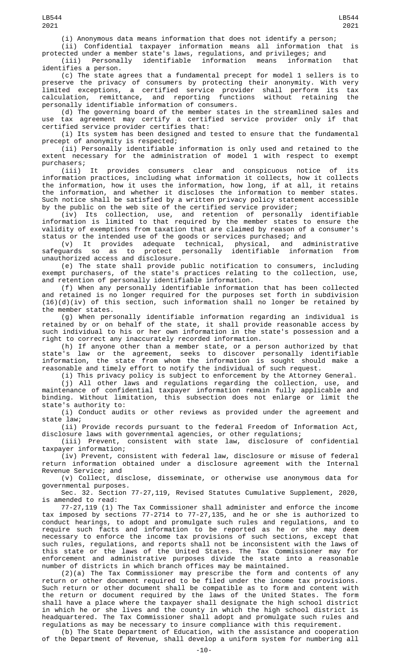(i) Anonymous data means information that does not identify a person;

(ii) Confidential taxpayer information means all information that is protected under a member state's laws, regulations, and privileges; and

(iii) Personally identifiable information means information that identifies a person.

(c) The state agrees that a fundamental precept for model 1 sellers is to preserve the privacy of consumers by protecting their anonymity. With very limited exceptions, a certified service provider shall perform its tax calculation, remittance, and reporting functions without retaining the personally identifiable information of consumers.

(d) The governing board of the member states in the streamlined sales and use tax agreement may certify a certified service provider only if that certified service provider certifies that:

(i) Its system has been designed and tested to ensure that the fundamental precept of anonymity is respected;

(ii) Personally identifiable information is only used and retained to the extent necessary for the administration of model 1 with respect to exempt purchasers;

(iii) It provides consumers clear and conspicuous notice of its information practices, including what information it collects, how it collects the information, how it uses the information, how long, if at all, it retains the information, and whether it discloses the information to member states. Such notice shall be satisfied by a written privacy policy statement accessible by the public on the web site of the certified service provider;

(iv) Its collection, use, and retention of personally identifiable information is limited to that required by the member states to ensure the validity of exemptions from taxation that are claimed by reason of a consumer's status or the intended use of the goods or services purchased; and

(v) It provides adequate technical, physical, and administrative<br>safeguards so as to protect personally identifiable information from identifiable information unauthorized access and disclosure.

(e) The state shall provide public notification to consumers, including exempt purchasers, of the state's practices relating to the collection, use, and retention of personally identifiable information.

(f) When any personally identifiable information that has been collected and retained is no longer required for the purposes set forth in subdivision (16)(d)(iv) of this section, such information shall no longer be retained by the member states.

(g) When personally identifiable information regarding an individual is retained by or on behalf of the state, it shall provide reasonable access by such individual to his or her own information in the state's possession and a right to correct any inaccurately recorded information.

(h) If anyone other than a member state, or a person authorized by that state's law or the agreement, seeks to discover personally identifiable information, the state from whom the information is sought should make a reasonable and timely effort to notify the individual of such request.

(i) This privacy policy is subject to enforcement by the Attorney General.

(j) All other laws and regulations regarding the collection, use, and maintenance of confidential taxpayer information remain fully applicable and binding. Without limitation, this subsection does not enlarge or limit the state's authority to:

(i) Conduct audits or other reviews as provided under the agreement and state law;

(ii) Provide records pursuant to the federal Freedom of Information Act, disclosure laws with governmental agencies, or other regulations;

(iii) Prevent, consistent with state law, disclosure of confidential taxpayer information;

(iv) Prevent, consistent with federal law, disclosure or misuse of federal return information obtained under a disclosure agreement with the Internal Revenue Service; and

(v) Collect, disclose, disseminate, or otherwise use anonymous data for governmental purposes.

Sec. 32. Section 77-27,119, Revised Statutes Cumulative Supplement, 2020, is amended to read:

77-27,119 (1) The Tax Commissioner shall administer and enforce the income tax imposed by sections 77-2714 to 77-27,135, and he or she is authorized to conduct hearings, to adopt and promulgate such rules and regulations, and to require such facts and information to be reported as he or she may deem necessary to enforce the income tax provisions of such sections, except that such rules, regulations, and reports shall not be inconsistent with the laws of this state or the laws of the United States. The Tax Commissioner may for enforcement and administrative purposes divide the state into a reasonable number of districts in which branch offices may be maintained.

(2)(a) The Tax Commissioner may prescribe the form and contents of any return or other document required to be filed under the income tax provisions. Such return or other document shall be compatible as to form and content with the return or document required by the laws of the United States. The form shall have a place where the taxpayer shall designate the high school district in which he or she lives and the county in which the high school district is headquartered. The Tax Commissioner shall adopt and promulgate such rules and regulations as may be necessary to insure compliance with this requirement.

(b) The State Department of Education, with the assistance and cooperation of the Department of Revenue, shall develop a uniform system for numbering all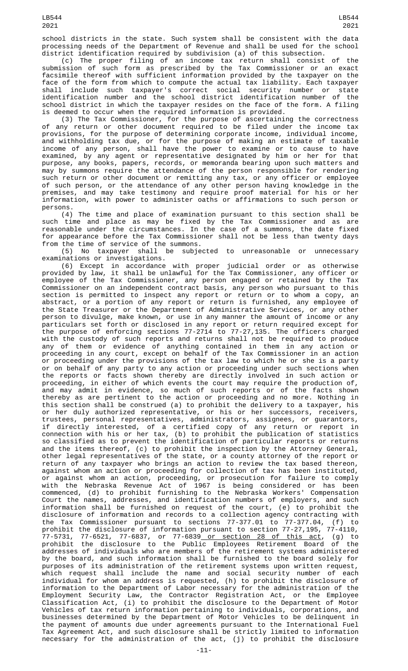school districts in the state. Such system shall be consistent with the data processing needs of the Department of Revenue and shall be used for the school district identification required by subdivision (a) of this subsection.

(c) The proper filing of an income tax return shall consist of the submission of such form as prescribed by the Tax Commissioner or an exact facsimile thereof with sufficient information provided by the taxpayer on the face of the form from which to compute the actual tax liability. Each taxpayer shall include such taxpayer's correct social security number or state identification number and the school district identification number of the school district in which the taxpayer resides on the face of the form. A filing is deemed to occur when the required information is provided.

(3) The Tax Commissioner, for the purpose of ascertaining the correctness of any return or other document required to be filed under the income tax provisions, for the purpose of determining corporate income, individual income, and withholding tax due, or for the purpose of making an estimate of taxable income of any person, shall have the power to examine or to cause to have examined, by any agent or representative designated by him or her for that purpose, any books, papers, records, or memoranda bearing upon such matters and may by summons require the attendance of the person responsible for rendering such return or other document or remitting any tax, or any officer or employee of such person, or the attendance of any other person having knowledge in the premises, and may take testimony and require proof material for his or her information, with power to administer oaths or affirmations to such person or persons.

(4) The time and place of examination pursuant to this section shall be such time and place as may be fixed by the Tax Commissioner and as are reasonable under the circumstances. In the case of a summons, the date fixed for appearance before the Tax Commissioner shall not be less than twenty days

from the time of service of the summons.<br>(5) No taxpayer shall be subje subjected to unreasonable or unnecessary examinations or investigations.

(6) Except in accordance with proper judicial order or as otherwise provided by law, it shall be unlawful for the Tax Commissioner, any officer or employee of the Tax Commissioner, any person engaged or retained by the Tax Commissioner on an independent contract basis, any person who pursuant to this section is permitted to inspect any report or return or to whom a copy, an abstract, or a portion of any report or return is furnished, any employee of the State Treasurer or the Department of Administrative Services, or any other person to divulge, make known, or use in any manner the amount of income or any particulars set forth or disclosed in any report or return required except for the purpose of enforcing sections 77-2714 to 77-27,135. The officers charged with the custody of such reports and returns shall not be required to produce any of them or evidence of anything contained in them in any action or proceeding in any court, except on behalf of the Tax Commissioner in an action or proceeding under the provisions of the tax law to which he or she is a party or on behalf of any party to any action or proceeding under such sections when the reports or facts shown thereby are directly involved in such action or proceeding, in either of which events the court may require the production of, and may admit in evidence, so much of such reports or of the facts shown thereby as are pertinent to the action or proceeding and no more. Nothing in this section shall be construed (a) to prohibit the delivery to a taxpayer, his or her duly authorized representative, or his or her successors, receivers, trustees, personal representatives, administrators, assignees, or guarantors, if directly interested, of a certified copy of any return or report in connection with his or her tax, (b) to prohibit the publication of statistics so classified as to prevent the identification of particular reports or returns and the items thereof, (c) to prohibit the inspection by the Attorney General, other legal representatives of the state, or a county attorney of the report or return of any taxpayer who brings an action to review the tax based thereon, against whom an action or proceeding for collection of tax has been instituted, or against whom an action, proceeding, or prosecution for failure to comply with the Nebraska Revenue Act of 1967 is being considered or has been commenced, (d) to prohibit furnishing to the Nebraska Workers' Compensation Court the names, addresses, and identification numbers of employers, and such information shall be furnished on request of the court, (e) to prohibit the disclosure of information and records to a collection agency contracting with the Tax Commissioner pursuant to sections 77-377.01 to 77-377.04, (f) to prohibit the disclosure of information pursuant to section 77-27,195, 77-4110, 77-5731, 77-6521, 77-6837, or 77-6839<u> or section 28 of this act</u>, (g) to prohibit the disclosure to the Public Employees Retirement Board of the addresses of individuals who are members of the retirement systems administered by the board, and such information shall be furnished to the board solely for purposes of its administration of the retirement systems upon written request, which request shall include the name and social security number of each individual for whom an address is requested, (h) to prohibit the disclosure of information to the Department of Labor necessary for the administration of the Employment Security Law, the Contractor Registration Act, or the Employee Classification Act, (i) to prohibit the disclosure to the Department of Motor Vehicles of tax return information pertaining to individuals, corporations, and businesses determined by the Department of Motor Vehicles to be delinquent in the payment of amounts due under agreements pursuant to the International Fuel Tax Agreement Act, and such disclosure shall be strictly limited to information necessary for the administration of the act, (j) to prohibit the disclosure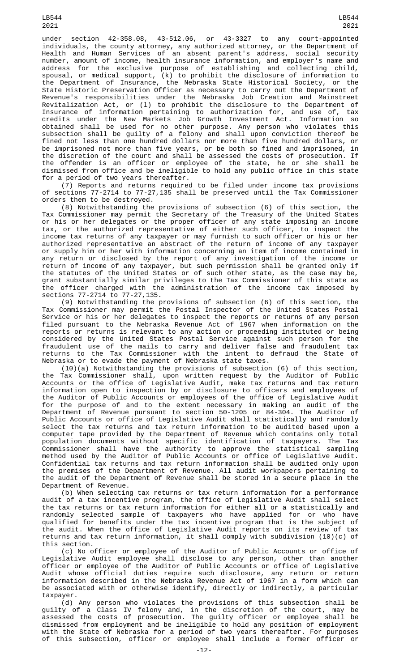under section 42-358.08, 43-512.06, or 43-3327 to any court-appointed individuals, the county attorney, any authorized attorney, or the Department of Health and Human Services of an absent parent's address, social security number, amount of income, health insurance information, and employer's name and address for the exclusive purpose of establishing and collecting child, spousal, or medical support, (k) to prohibit the disclosure of information to the Department of Insurance, the Nebraska State Historical Society, or the State Historic Preservation Officer as necessary to carry out the Department of Revenue's responsibilities under the Nebraska Job Creation and Mainstreet Revitalization Act, or (l) to prohibit the disclosure to the Department of Insurance of information pertaining to authorization for, and use of, tax credits under the New Markets Job Growth Investment Act. Information so obtained shall be used for no other purpose. Any person who violates this subsection shall be guilty of a felony and shall upon conviction thereof be fined not less than one hundred dollars nor more than five hundred dollars, or be imprisoned not more than five years, or be both so fined and imprisoned, in the discretion of the court and shall be assessed the costs of prosecution. If the offender is an officer or employee of the state, he or she shall be dismissed from office and be ineligible to hold any public office in this state for a period of two years thereafter.

(7) Reports and returns required to be filed under income tax provisions of sections 77-2714 to 77-27,135 shall be preserved until the Tax Commissioner orders them to be destroyed.

(8) Notwithstanding the provisions of subsection (6) of this section, the Tax Commissioner may permit the Secretary of the Treasury of the United States or his or her delegates or the proper officer of any state imposing an income tax, or the authorized representative of either such officer, to inspect the income tax returns of any taxpayer or may furnish to such officer or his or her authorized representative an abstract of the return of income of any taxpayer or supply him or her with information concerning an item of income contained in any return or disclosed by the report of any investigation of the income or return of income of any taxpayer, but such permission shall be granted only if the statutes of the United States or of such other state, as the case may be, grant substantially similar privileges to the Tax Commissioner of this state as the officer charged with the administration of the income tax imposed by sections 77-2714 to 77-27,135.

(9) Notwithstanding the provisions of subsection (6) of this section, the Tax Commissioner may permit the Postal Inspector of the United States Postal Service or his or her delegates to inspect the reports or returns of any person filed pursuant to the Nebraska Revenue Act of 1967 when information on the reports or returns is relevant to any action or proceeding instituted or being considered by the United States Postal Service against such person for the fraudulent use of the mails to carry and deliver false and fraudulent tax returns to the Tax Commissioner with the intent to defraud the State of Nebraska or to evade the payment of Nebraska state taxes.

(10)(a) Notwithstanding the provisions of subsection (6) of this section, the Tax Commissioner shall, upon written request by the Auditor of Public Accounts or the office of Legislative Audit, make tax returns and tax return information open to inspection by or disclosure to officers and employees of the Auditor of Public Accounts or employees of the office of Legislative Audit for the purpose of and to the extent necessary in making an audit of the Department of Revenue pursuant to section 50-1205 or 84-304. The Auditor of Public Accounts or office of Legislative Audit shall statistically and randomly select the tax returns and tax return information to be audited based upon a computer tape provided by the Department of Revenue which contains only total population documents without specific identification of taxpayers. The Tax Commissioner shall have the authority to approve the statistical sampling method used by the Auditor of Public Accounts or office of Legislative Audit. Confidential tax returns and tax return information shall be audited only upon the premises of the Department of Revenue. All audit workpapers pertaining to the audit of the Department of Revenue shall be stored in a secure place in the Department of Revenue.

(b) When selecting tax returns or tax return information for a performance audit of a tax incentive program, the office of Legislative Audit shall select the tax returns or tax return information for either all or a statistically and randomly selected sample of taxpayers who have applied for or who have qualified for benefits under the tax incentive program that is the subject of the audit. When the office of Legislative Audit reports on its review of tax returns and tax return information, it shall comply with subdivision (10)(c) of this section.

(c) No officer or employee of the Auditor of Public Accounts or office of Legislative Audit employee shall disclose to any person, other than another officer or employee of the Auditor of Public Accounts or office of Legislative Audit whose official duties require such disclosure, any return or return information described in the Nebraska Revenue Act of 1967 in a form which can be associated with or otherwise identify, directly or indirectly, a particular taxpayer.

(d) Any person who violates the provisions of this subsection shall be guilty of a Class IV felony and, in the discretion of the court, may be assessed the costs of prosecution. The guilty officer or employee shall be dismissed from employment and be ineligible to hold any position of employment with the State of Nebraska for a period of two years thereafter. For purposes of this subsection, officer or employee shall include a former officer or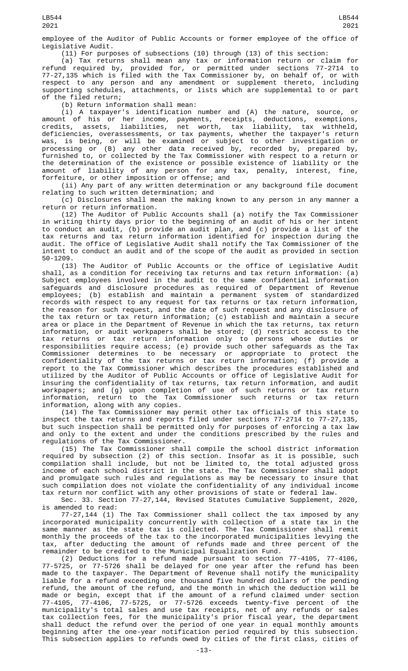employee of the Auditor of Public Accounts or former employee of the office of Legislative Audit.

(11) For purposes of subsections (10) through (13) of this section:

(a) Tax returns shall mean any tax or information return or claim for refund required by, provided for, or permitted under sections 77-2714 to 77-27,135 which is filed with the Tax Commissioner by, on behalf of, or with respect to any person and any amendment or supplement thereto, including supporting schedules, attachments, or lists which are supplemental to or part of the filed return;

(b) Return information shall mean:

(i) A taxpayer's identification number and (A) the nature, source, or amount of his or her income, payments, receipts, deductions, exemptions, credits, assets, liabilities, net worth, tax liability, tax withheld, deficiencies, overassessments, or tax payments, whether the taxpayer's return was, is being, or will be examined or subject to other investigation or processing or (B) any other data received by, recorded by, prepared by, furnished to, or collected by the Tax Commissioner with respect to a return or the determination of the existence or possible existence of liability or the amount of liability of any person for any tax, penalty, interest, fine, forfeiture, or other imposition or offense; and

(ii) Any part of any written determination or any background file document relating to such written determination; and

(c) Disclosures shall mean the making known to any person in any manner a return or return information.

(12) The Auditor of Public Accounts shall (a) notify the Tax Commissioner in writing thirty days prior to the beginning of an audit of his or her intent to conduct an audit, (b) provide an audit plan, and (c) provide a list of the tax returns and tax return information identified for inspection during the audit. The office of Legislative Audit shall notify the Tax Commissioner of the intent to conduct an audit and of the scope of the audit as provided in section 50-1209.

(13) The Auditor of Public Accounts or the office of Legislative Audit shall, as a condition for receiving tax returns and tax return information: (a) Subject employees involved in the audit to the same confidential information safeguards and disclosure procedures as required of Department of Revenue employees; (b) establish and maintain a permanent system of standardized records with respect to any request for tax returns or tax return information, the reason for such request, and the date of such request and any disclosure of the tax return or tax return information; (c) establish and maintain a secure area or place in the Department of Revenue in which the tax returns, tax return information, or audit workpapers shall be stored; (d) restrict access to the tax returns or tax return information only to persons whose duties or responsibilities require access; (e) provide such other safeguards as the Tax Commissioner determines to be necessary or appropriate to protect the confidentiality of the tax returns or tax return information; (f) provide a report to the Tax Commissioner which describes the procedures established and utilized by the Auditor of Public Accounts or office of Legislative Audit for insuring the confidentiality of tax returns, tax return information, and audit workpapers; and (g) upon completion of use of such returns or tax return information, return to the Tax Commissioner such returns or tax return information, along with any copies.

(14) The Tax Commissioner may permit other tax officials of this state to inspect the tax returns and reports filed under sections 77-2714 to 77-27,135, but such inspection shall be permitted only for purposes of enforcing a tax law and only to the extent and under the conditions prescribed by the rules and regulations of the Tax Commissioner.

(15) The Tax Commissioner shall compile the school district information required by subsection (2) of this section. Insofar as it is possible, such compilation shall include, but not be limited to, the total adjusted gross income of each school district in the state. The Tax Commissioner shall adopt and promulgate such rules and regulations as may be necessary to insure that such compilation does not violate the confidentiality of any individual income tax return nor conflict with any other provisions of state or federal law.

Sec. 33. Section 77-27,144, Revised Statutes Cumulative Supplement, 2020, is amended to read:

77-27,144 (1) The Tax Commissioner shall collect the tax imposed by any incorporated municipality concurrently with collection of a state tax in the same manner as the state tax is collected. The Tax Commissioner shall remit monthly the proceeds of the tax to the incorporated municipalities levying the<br>tax. after deducting the amount of refunds made and three percent of the tax, after deducting the amount of refunds made and three percent of remainder to be credited to the Municipal Equalization Fund.

(2) Deductions for a refund made pursuant to section 77-4105, 77-4106, 77-5725, or 77-5726 shall be delayed for one year after the refund has been made to the taxpayer. The Department of Revenue shall notify the municipality liable for a refund exceeding one thousand five hundred dollars of the pending refund, the amount of the refund, and the month in which the deduction will be made or begin, except that if the amount of a refund claimed under section 77-4105, 77-4106, 77-5725, or 77-5726 exceeds twenty-five percent of the municipality's total sales and use tax receipts, net of any refunds or sales tax collection fees, for the municipality's prior fiscal year, the department shall deduct the refund over the period of one year in equal monthly amounts beginning after the one-year notification period required by this subsection. This subsection applies to refunds owed by cities of the first class, cities of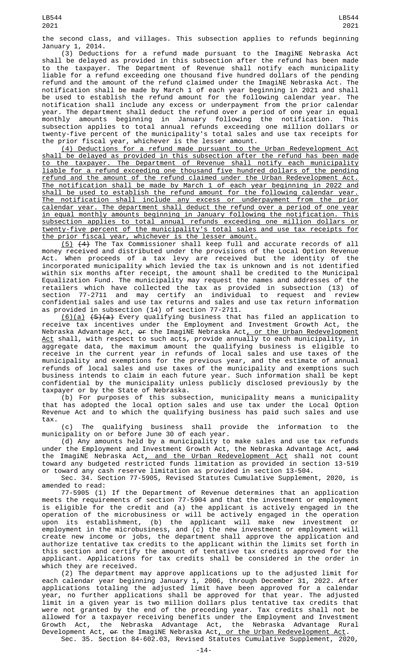the second class, and villages. This subsection applies to refunds beginning January 1, 2014.

(3) Deductions for a refund made pursuant to the ImagiNE Nebraska Act shall be delayed as provided in this subsection after the refund has been made to the taxpayer. The Department of Revenue shall notify each municipality liable for a refund exceeding one thousand five hundred dollars of the pending refund and the amount of the refund claimed under the ImagiNE Nebraska Act. The notification shall be made by March 1 of each year beginning in 2021 and shall be used to establish the refund amount for the following calendar year. The notification shall include any excess or underpayment from the prior calendar year. The department shall deduct the refund over a period of one year in equal monthly amounts beginning in January following the notification. This subsection applies to total annual refunds exceeding one million dollars or twenty-five percent of the municipality's total sales and use tax receipts for the prior fiscal year, whichever is the lesser amount.

(4) Deductions for a refund made pursuant to the Urban Redevelopment Act shall be delayed as provided in this subsection after the refund has been made to the taxpayer. The Department of Revenue shall notify each municipality liable for a refund exceeding one thousand five hundred dollars of the pending refund and the amount of the refund claimed under the Urban Redevelopment Act. The notification shall be made by March 1 of each year beginning in 2022 and shall be used to establish the refund amount for the following calendar year. The notification shall include any excess or underpayment from the prior <u>calendar year. The department shall deduct the refund over a period of one year</u><br>in equal monthly amounts beginning in January following the notification. This in equal monthly amounts beginning in January following the notification. subsection applies to total annual refunds exceeding one million dollars or twenty-five percent of the municipality's total sales and use tax receipts for the prior fiscal year, whichever is the lesser amount.

(5) (4) The Tax Commissioner shall keep full and accurate records of all money received and distributed under the provisions of the Local Option Revenue Act. When proceeds of a tax levy are received but the identity of the incorporated municipality which levied the tax is unknown and is not identified within six months after receipt, the amount shall be credited to the Municipal Equalization Fund. The municipality may request the names and addresses of the retailers which have collected the tax as provided in subsection (13) of section 77-2711 and may certify an individual to request and review confidential sales and use tax returns and sales and use tax return information as provided in subsection (14) of section 77-2711.

(6)(a) (5)(a) Every qualifying business that has filed an application to receive tax incentives under the Employment and Investment Growth Act, the Nebraska Advantage Act, <del>or</del> the ImagiNE Nebraska Act<u>, or the Urban Redevelopment</u> <u>Act</u> shall, with respect to such acts, provide annually to each municipality, in aggregate data, the maximum amount the qualifying business is eligible to receive in the current year in refunds of local sales and use taxes of the municipality and exemptions for the previous year, and the estimate of annual refunds of local sales and use taxes of the municipality and exemptions such business intends to claim in each future year. Such information shall be kept confidential by the municipality unless publicly disclosed previously by the taxpayer or by the State of Nebraska.

(b) For purposes of this subsection, municipality means a municipality that has adopted the local option sales and use tax under the Local Option Revenue Act and to which the qualifying business has paid such sales and use tax.

(c) The qualifying business shall provide the information to the municipality on or before June 30 of each year.

(d) Any amounts held by a municipality to make sales and use tax refunds under the Employment and Investment Growth Act, the Nebraska Advantage Act, and the ImagiNE Nebraska Act, and the Urban Redevelopment Act shall not count toward any budgeted restricted funds limitation as provided in section 13-519 or toward any cash reserve limitation as provided in section 13-504.

Sec. 34. Section 77-5905, Revised Statutes Cumulative Supplement, 2020, is amended to read:

77-5905 (1) If the Department of Revenue determines that an application meets the requirements of section 77-5904 and that the investment or employment is eligible for the credit and (a) the applicant is actively engaged in the operation of the microbusiness or will be actively engaged in the operation upon its establishment, (b) the applicant will make new investment or employment in the microbusiness, and (c) the new investment or employment will create new income or jobs, the department shall approve the application and authorize tentative tax credits to the applicant within the limits set forth in this section and certify the amount of tentative tax credits approved for the applicant. Applications for tax credits shall be considered in the order in which they are received.

(2) The department may approve applications up to the adjusted limit for each calendar year beginning January 1, 2006, through December 31, 2022. After applications totaling the adjusted limit have been approved for a calendar year, no further applications shall be approved for that year. The adjusted limit in a given year is two million dollars plus tentative tax credits that were not granted by the end of the preceding year. Tax credits shall not be allowed for a taxpayer receiving benefits under the Employment and Investment Growth Act, the Nebraska Advantage Act, the Nebraska Advantage Rural Development Act, <del>or</del> the ImagiNE Nebraska Act<u>, or the Urban Redevelopment Act</u>. Sec. 35. Section 84-602.03, Revised Statutes Cumulative Supplement, 2020,